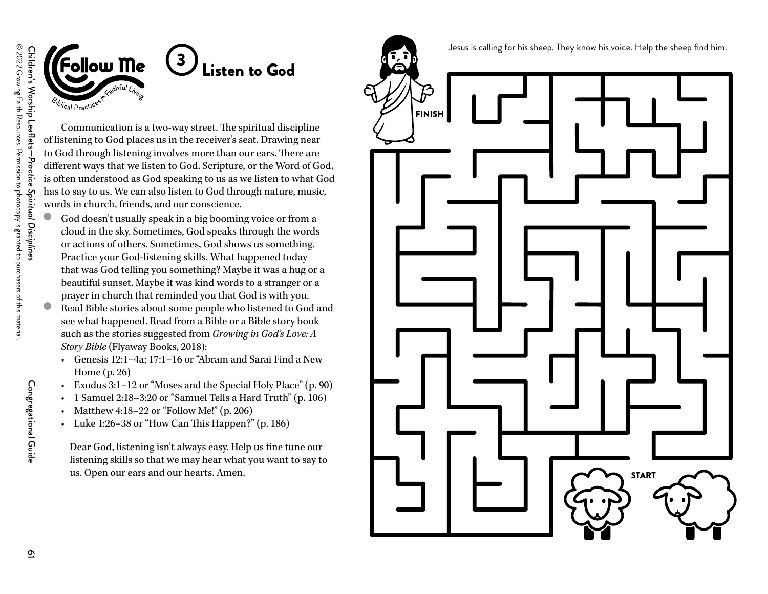



## 3 Listen to God

Communication is a two-way street. The spiritual discipline of listening to God places us in the receiver's seat. Drawing near to God through listening involves more than our ears. There are different ways that we listen to God. Scripture, or the Word of God, is often understood as God speaking to us as we listen to what God has to say to us. We can also listen to God through nature, music, words in church, friends, and our conscience.

- God doesn't usually speak in a big booming voice or from a cloud in the sky. Sometimes, God speaks through the words or actions of others. Sometimes, God shows us something. Practice your God-listening skills. What happened today that was God telling you something? Maybe it was a hug or a beautiful sunset. Maybe it was kind words to a stranger or a prayer in church that reminded you that God is with you.  $\bullet$ 
	- Read Bible stories about some people who listened to God and see what happened. Read from a Bible or a Bible story book such as the stories suggested from *Growing in God's Love: A Story Bible* (Flyaway Books, 2018):
		- Genesis 12:1–4a; 17:1–16 or "Abram and Sarai Find a New Home (p. 26)
	- Exodus 3:1–12 or "Moses and the Special Holy Place" (p. 90)
	- •1 Samuel 2:18–3:20 or "Samuel Tells a Hard Truth" (p. 106)
	- •Matthew 4:18–22 or "Follow Me!" (p. 206)
	- Luke 1:26–38 or "How Can This Happen?" (p. 186)

Dear God, listening isn't always easy. Help us fine tune our listening skills so that we may hear what you want to say to us. Open our ears and our hearts. Amen.

Jesus is calling for his sheep. They know his voice. Help the sheep find him.



Congregational Guide

Congregational Guide